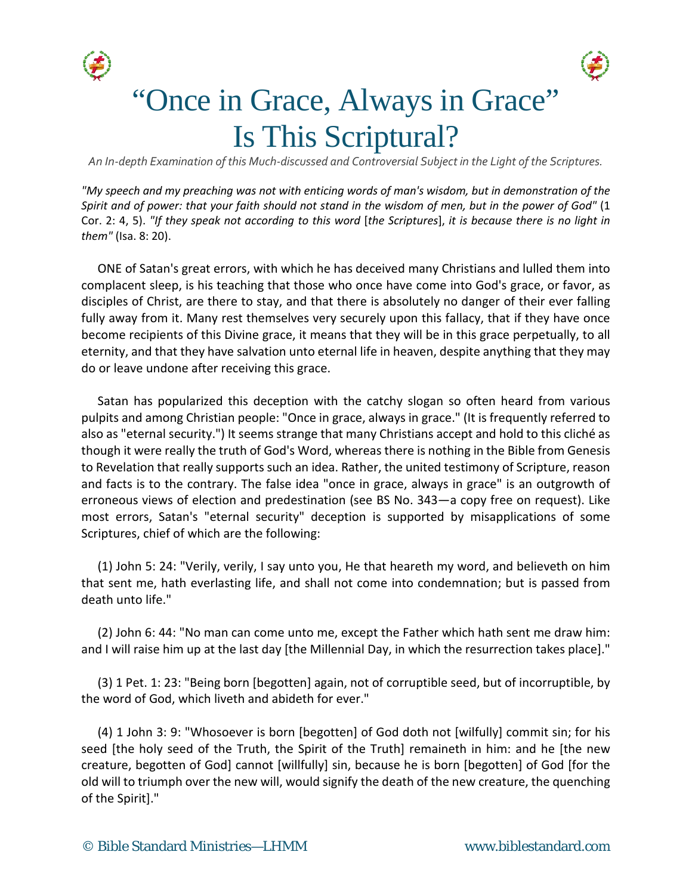



## "Once in Grace, Always in Grace" Is This Scriptural?

*An In-depth Examination of this Much-discussed and Controversial Subject in the Light of the Scriptures.*

*"My speech and my preaching was not with enticing words of man's wisdom, but in demonstration of the Spirit and of power: that your faith should not stand in the wisdom of men, but in the power of God"* (1 Cor. 2: 4, 5). *"If they speak not according to this word* [*the Scriptures*], *it is because there is no light in them"* (Isa. 8: 20).

ONE of Satan's great errors, with which he has deceived many Christians and lulled them into complacent sleep, is his teaching that those who once have come into God's grace, or favor, as disciples of Christ, are there to stay, and that there is absolutely no danger of their ever falling fully away from it. Many rest themselves very securely upon this fallacy, that if they have once become recipients of this Divine grace, it means that they will be in this grace perpetually, to all eternity, and that they have salvation unto eternal life in heaven, despite anything that they may do or leave undone after receiving this grace.

Satan has popularized this deception with the catchy slogan so often heard from various pulpits and among Christian people: "Once in grace, always in grace." (It is frequently referred to also as "eternal security.") It seems strange that many Christians accept and hold to this cliché as though it were really the truth of God's Word, whereas there is nothing in the Bible from Genesis to Revelation that really supports such an idea. Rather, the united testimony of Scripture, reason and facts is to the contrary. The false idea "once in grace, always in grace" is an outgrowth of erroneous views of election and predestination (see BS No. 343—a copy free on request). Like most errors, Satan's "eternal security" deception is supported by misapplications of some Scriptures, chief of which are the following:

(1) John 5: 24: "Verily, verily, I say unto you, He that heareth my word, and believeth on him that sent me, hath everlasting life, and shall not come into condemnation; but is passed from death unto life."

(2) John 6: 44: "No man can come unto me, except the Father which hath sent me draw him: and I will raise him up at the last day [the Millennial Day, in which the resurrection takes place]."

(3) 1 Pet. 1: 23: "Being born [begotten] again, not of corruptible seed, but of incorruptible, by the word of God, which liveth and abideth for ever."

(4) 1 John 3: 9: "Whosoever is born [begotten] of God doth not [wilfully] commit sin; for his seed [the holy seed of the Truth, the Spirit of the Truth] remaineth in him: and he [the new creature, begotten of God] cannot [willfully] sin, because he is born [begotten] of God [for the old will to triumph over the new will, would signify the death of the new creature, the quenching of the Spirit]."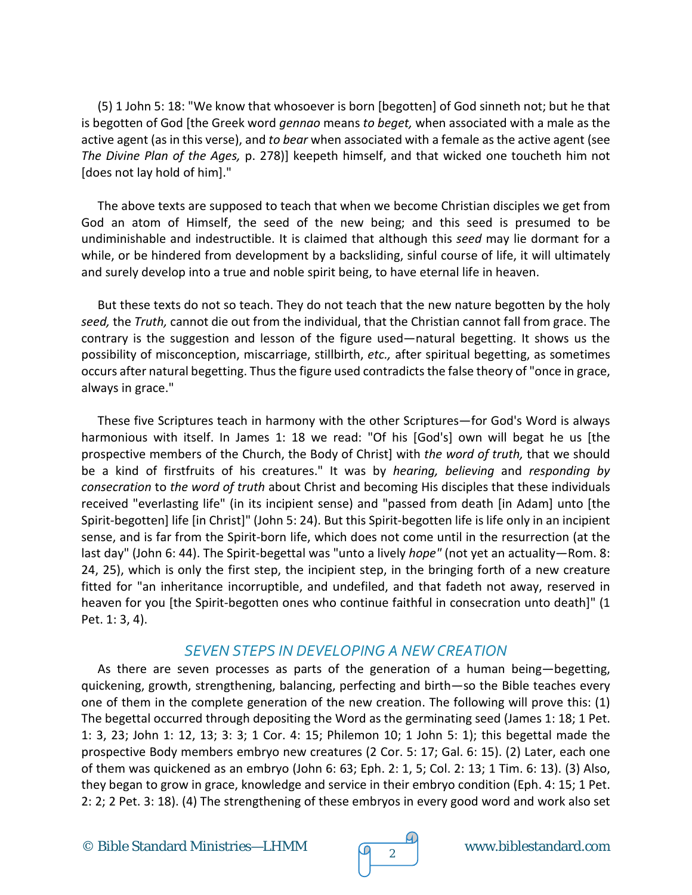(5) 1 John 5: 18: "We know that whosoever is born [begotten] of God sinneth not; but he that is begotten of God [the Greek word *gennao* means *to beget,* when associated with a male as the active agent (as in this verse), and *to bear* when associated with a female as the active agent (see *The Divine Plan of the Ages,* p. 278)] keepeth himself, and that wicked one toucheth him not [does not lay hold of him]."

The above texts are supposed to teach that when we become Christian disciples we get from God an atom of Himself, the seed of the new being; and this seed is presumed to be undiminishable and indestructible. It is claimed that although this *seed* may lie dormant for a while, or be hindered from development by a backsliding, sinful course of life, it will ultimately and surely develop into a true and noble spirit being, to have eternal life in heaven.

But these texts do not so teach. They do not teach that the new nature begotten by the holy *seed,* the *Truth,* cannot die out from the individual, that the Christian cannot fall from grace. The contrary is the suggestion and lesson of the figure used—natural begetting. It shows us the possibility of misconception, miscarriage, stillbirth, *etc.,* after spiritual begetting, as sometimes occurs after natural begetting. Thus the figure used contradicts the false theory of "once in grace, always in grace."

These five Scriptures teach in harmony with the other Scriptures—for God's Word is always harmonious with itself. In James 1: 18 we read: "Of his [God's] own will begat he us [the prospective members of the Church, the Body of Christ] with *the word of truth,* that we should be a kind of firstfruits of his creatures." It was by *hearing, believing* and *responding by consecration* to *the word of truth* about Christ and becoming His disciples that these individuals received "everlasting life" (in its incipient sense) and "passed from death [in Adam] unto [the Spirit-begotten] life [in Christ]" (John 5: 24). But this Spirit-begotten life is life only in an incipient sense, and is far from the Spirit-born life, which does not come until in the resurrection (at the last day" (John 6: 44). The Spirit-begettal was "unto a lively *hope"* (not yet an actuality—Rom. 8: 24, 25), which is only the first step, the incipient step, in the bringing forth of a new creature fitted for "an inheritance incorruptible, and undefiled, and that fadeth not away, reserved in heaven for you [the Spirit-begotten ones who continue faithful in consecration unto death]" (1 Pet. 1: 3, 4).

## *SEVEN STEPS IN DEVELOPING A NEW CREATION*

As there are seven processes as parts of the generation of a human being—begetting, quickening, growth, strengthening, balancing, perfecting and birth—so the Bible teaches every one of them in the complete generation of the new creation. The following will prove this: (1) The begettal occurred through depositing the Word as the germinating seed (James 1: 18; 1 Pet. 1: 3, 23; John 1: 12, 13; 3: 3; 1 Cor. 4: 15; Philemon 10; 1 John 5: 1); this begettal made the prospective Body members embryo new creatures (2 Cor. 5: 17; Gal. 6: 15). (2) Later, each one of them was quickened as an embryo (John 6: 63; Eph. 2: 1, 5; Col. 2: 13; 1 Tim. 6: 13). (3) Also, they began to grow in grace, knowledge and service in their embryo condition (Eph. 4: 15; 1 Pet. 2: 2; 2 Pet. 3: 18). (4) The strengthening of these embryos in every good word and work also set

© Bible Standard Ministries—LHMM  $\sqrt{q}$  2 www.biblestandard.com



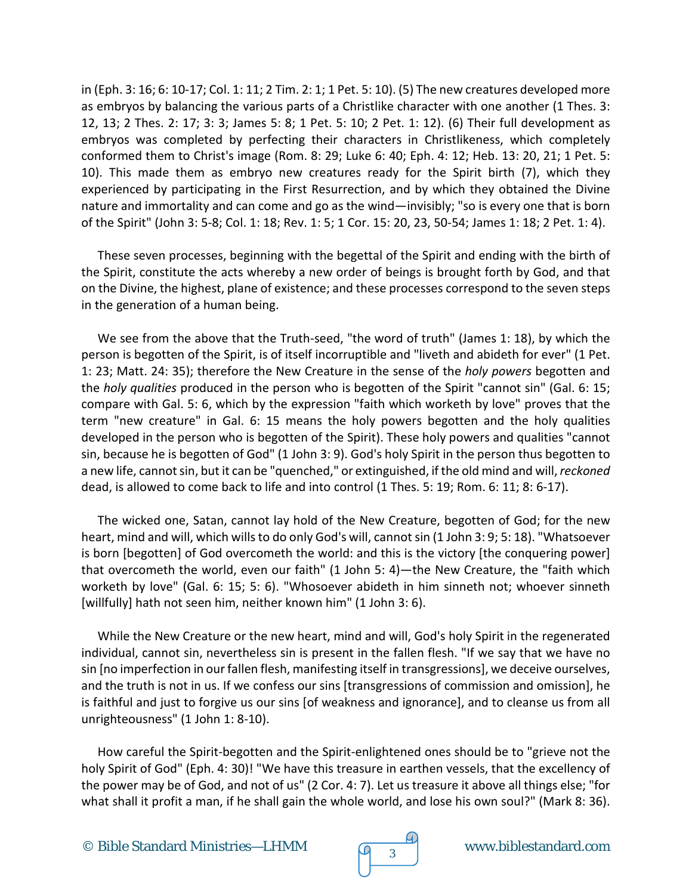in (Eph. 3: 16; 6: 10-17; Col. 1: 11; 2 Tim. 2: 1; 1 Pet. 5: 10). (5) The new creatures developed more as embryos by balancing the various parts of a Christlike character with one another (1 Thes. 3: 12, 13; 2 Thes. 2: 17; 3: 3; James 5: 8; 1 Pet. 5: 10; 2 Pet. 1: 12). (6) Their full development as embryos was completed by perfecting their characters in Christlikeness, which completely conformed them to Christ's image (Rom. 8: 29; Luke 6: 40; Eph. 4: 12; Heb. 13: 20, 21; 1 Pet. 5: 10). This made them as embryo new creatures ready for the Spirit birth (7), which they experienced by participating in the First Resurrection, and by which they obtained the Divine nature and immortality and can come and go as the wind—invisibly; "so is every one that is born of the Spirit" (John 3: 5-8; Col. 1: 18; Rev. 1: 5; 1 Cor. 15: 20, 23, 50-54; James 1: 18; 2 Pet. 1: 4).

These seven processes, beginning with the begettal of the Spirit and ending with the birth of the Spirit, constitute the acts whereby a new order of beings is brought forth by God, and that on the Divine, the highest, plane of existence; and these processes correspond to the seven steps in the generation of a human being.

We see from the above that the Truth-seed, "the word of truth" (James 1: 18), by which the person is begotten of the Spirit, is of itself incorruptible and "liveth and abideth for ever" (1 Pet. 1: 23; Matt. 24: 35); therefore the New Creature in the sense of the *holy powers* begotten and the *holy qualities* produced in the person who is begotten of the Spirit "cannot sin" (Gal. 6: 15; compare with Gal. 5: 6, which by the expression "faith which worketh by love" proves that the term "new creature" in Gal. 6: 15 means the holy powers begotten and the holy qualities developed in the person who is begotten of the Spirit). These holy powers and qualities "cannot sin, because he is begotten of God" (1 John 3: 9). God's holy Spirit in the person thus begotten to a new life, cannot sin, but it can be "quenched," or extinguished, if the old mind and will, *reckoned*  dead, is allowed to come back to life and into control (1 Thes. 5: 19; Rom. 6: 11; 8: 6-17).

The wicked one, Satan, cannot lay hold of the New Creature, begotten of God; for the new heart, mind and will, which wills to do only God's will, cannot sin (1 John 3: 9; 5: 18). "Whatsoever is born [begotten] of God overcometh the world: and this is the victory [the conquering power] that overcometh the world, even our faith" (1 John 5: 4)—the New Creature, the "faith which worketh by love" (Gal. 6: 15; 5: 6). "Whosoever abideth in him sinneth not; whoever sinneth [willfully] hath not seen him, neither known him" (1 John 3: 6).

While the New Creature or the new heart, mind and will, God's holy Spirit in the regenerated individual, cannot sin, nevertheless sin is present in the fallen flesh. "If we say that we have no sin [no imperfection in our fallen flesh, manifesting itself in transgressions], we deceive ourselves, and the truth is not in us. If we confess our sins [transgressions of commission and omission], he is faithful and just to forgive us our sins [of weakness and ignorance], and to cleanse us from all unrighteousness" (1 John 1: 8-10).

How careful the Spirit-begotten and the Spirit-enlightened ones should be to "grieve not the holy Spirit of God" (Eph. 4: 30)! "We have this treasure in earthen vessels, that the excellency of the power may be of God, and not of us" (2 Cor. 4: 7). Let us treasure it above all things else; "for what shall it profit a man, if he shall gain the whole world, and lose his own soul?" (Mark 8: 36).



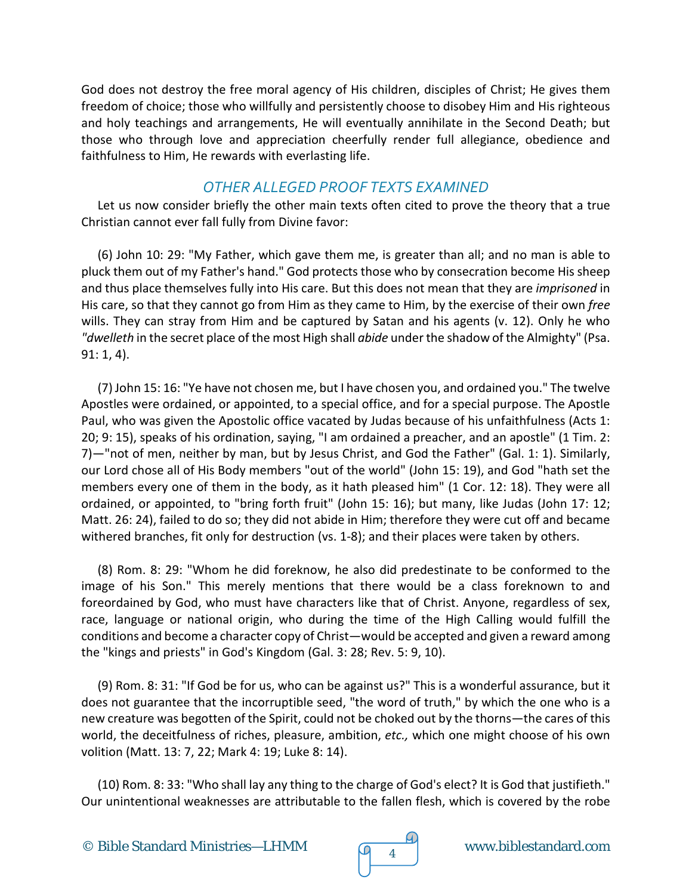God does not destroy the free moral agency of His children, disciples of Christ; He gives them freedom of choice; those who willfully and persistently choose to disobey Him and His righteous and holy teachings and arrangements, He will eventually annihilate in the Second Death; but those who through love and appreciation cheerfully render full allegiance, obedience and faithfulness to Him, He rewards with everlasting life.

## *OTHER ALLEGED PROOF TEXTS EXAMINED*

Let us now consider briefly the other main texts often cited to prove the theory that a true Christian cannot ever fall fully from Divine favor:

(6) John 10: 29: "My Father, which gave them me, is greater than all; and no man is able to pluck them out of my Father's hand." God protects those who by consecration become His sheep and thus place themselves fully into His care. But this does not mean that they are *imprisoned* in His care, so that they cannot go from Him as they came to Him, by the exercise of their own *free*  wills. They can stray from Him and be captured by Satan and his agents (v. 12). Only he who *"dwelleth* in the secret place of the most High shall *abide* under the shadow of the Almighty" (Psa. 91: 1, 4).

(7) John 15: 16: "Ye have not chosen me, but I have chosen you, and ordained you." The twelve Apostles were ordained, or appointed, to a special office, and for a special purpose. The Apostle Paul, who was given the Apostolic office vacated by Judas because of his unfaithfulness (Acts 1: 20; 9: 15), speaks of his ordination, saying, "I am ordained a preacher, and an apostle" (1 Tim. 2: 7)—"not of men, neither by man, but by Jesus Christ, and God the Father" (Gal. 1: 1). Similarly, our Lord chose all of His Body members "out of the world" (John 15: 19), and God "hath set the members every one of them in the body, as it hath pleased him" (1 Cor. 12: 18). They were all ordained, or appointed, to "bring forth fruit" (John 15: 16); but many, like Judas (John 17: 12; Matt. 26: 24), failed to do so; they did not abide in Him; therefore they were cut off and became withered branches, fit only for destruction (vs. 1-8); and their places were taken by others.

(8) Rom. 8: 29: "Whom he did foreknow, he also did predestinate to be conformed to the image of his Son." This merely mentions that there would be a class foreknown to and foreordained by God, who must have characters like that of Christ. Anyone, regardless of sex, race, language or national origin, who during the time of the High Calling would fulfill the conditions and become a character copy of Christ—would be accepted and given a reward among the "kings and priests" in God's Kingdom (Gal. 3: 28; Rev. 5: 9, 10).

(9) Rom. 8: 31: "If God be for us, who can be against us?" This is a wonderful assurance, but it does not guarantee that the incorruptible seed, "the word of truth," by which the one who is a new creature was begotten of the Spirit, could not be choked out by the thorns—the cares of this world, the deceitfulness of riches, pleasure, ambition, *etc.,* which one might choose of his own volition (Matt. 13: 7, 22; Mark 4: 19; Luke 8: 14).

(10) Rom. 8: 33: "Who shall lay any thing to the charge of God's elect? It is God that justifieth." Our unintentional weaknesses are attributable to the fallen flesh, which is covered by the robe

© Bible Standard Ministries—LHMM www.biblestandard.com <sup>4</sup>

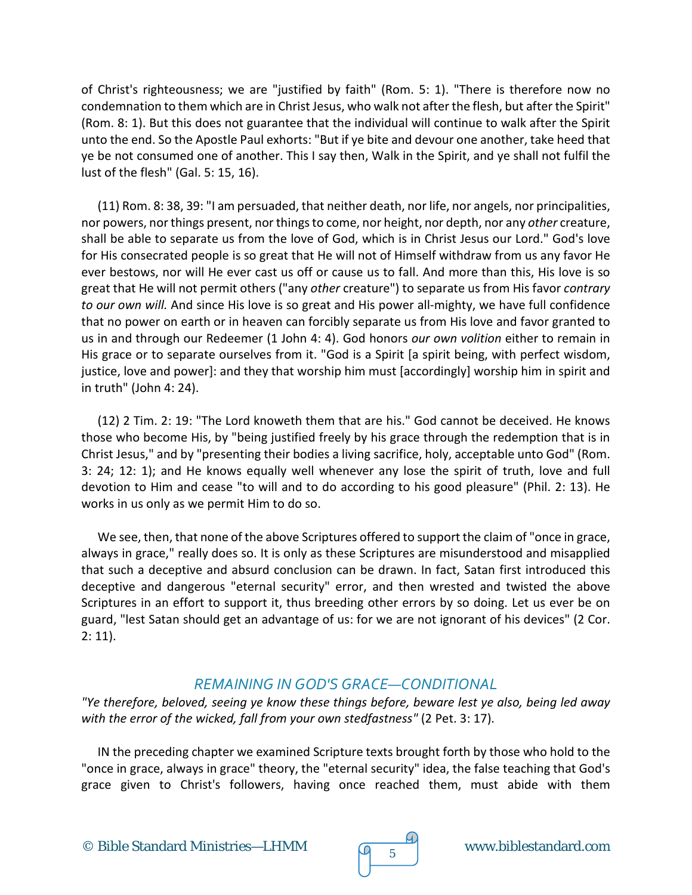of Christ's righteousness; we are "justified by faith" (Rom. 5: 1). "There is therefore now no condemnation to them which are in Christ Jesus, who walk not after the flesh, but after the Spirit" (Rom. 8: 1). But this does not guarantee that the individual will continue to walk after the Spirit unto the end. So the Apostle Paul exhorts: "But if ye bite and devour one another, take heed that ye be not consumed one of another. This I say then, Walk in the Spirit, and ye shall not fulfil the lust of the flesh" (Gal. 5: 15, 16).

(11) Rom. 8: 38, 39: "I am persuaded, that neither death, nor life, nor angels, nor principalities, nor powers, nor things present, nor things to come, nor height, nor depth, nor any *other* creature, shall be able to separate us from the love of God, which is in Christ Jesus our Lord." God's love for His consecrated people is so great that He will not of Himself withdraw from us any favor He ever bestows, nor will He ever cast us off or cause us to fall. And more than this, His love is so great that He will not permit others ("any *other* creature") to separate us from His favor *contrary to our own will.* And since His love is so great and His power all-mighty, we have full confidence that no power on earth or in heaven can forcibly separate us from His love and favor granted to us in and through our Redeemer (1 John 4: 4). God honors *our own volition* either to remain in His grace or to separate ourselves from it. "God is a Spirit [a spirit being, with perfect wisdom, justice, love and power]: and they that worship him must [accordingly] worship him in spirit and in truth" (John 4: 24).

(12) 2 Tim. 2: 19: "The Lord knoweth them that are his." God cannot be deceived. He knows those who become His, by "being justified freely by his grace through the redemption that is in Christ Jesus," and by "presenting their bodies a living sacrifice, holy, acceptable unto God" (Rom. 3: 24; 12: 1); and He knows equally well whenever any lose the spirit of truth, love and full devotion to Him and cease "to will and to do according to his good pleasure" (Phil. 2: 13). He works in us only as we permit Him to do so.

We see, then, that none of the above Scriptures offered to support the claim of "once in grace, always in grace," really does so. It is only as these Scriptures are misunderstood and misapplied that such a deceptive and absurd conclusion can be drawn. In fact, Satan first introduced this deceptive and dangerous "eternal security" error, and then wrested and twisted the above Scriptures in an effort to support it, thus breeding other errors by so doing. Let us ever be on guard, "lest Satan should get an advantage of us: for we are not ignorant of his devices" (2 Cor. 2: 11).

## *REMAINING IN GOD'S GRACE—CONDITIONAL*

*"Ye therefore, beloved, seeing ye know these things before, beware lest ye also, being led away with the error of the wicked, fall from your own stedfastness"* (2 Pet. 3: 17).

IN the preceding chapter we examined Scripture texts brought forth by those who hold to the "once in grace, always in grace" theory, the "eternal security" idea, the false teaching that God's grace given to Christ's followers, having once reached them, must abide with them



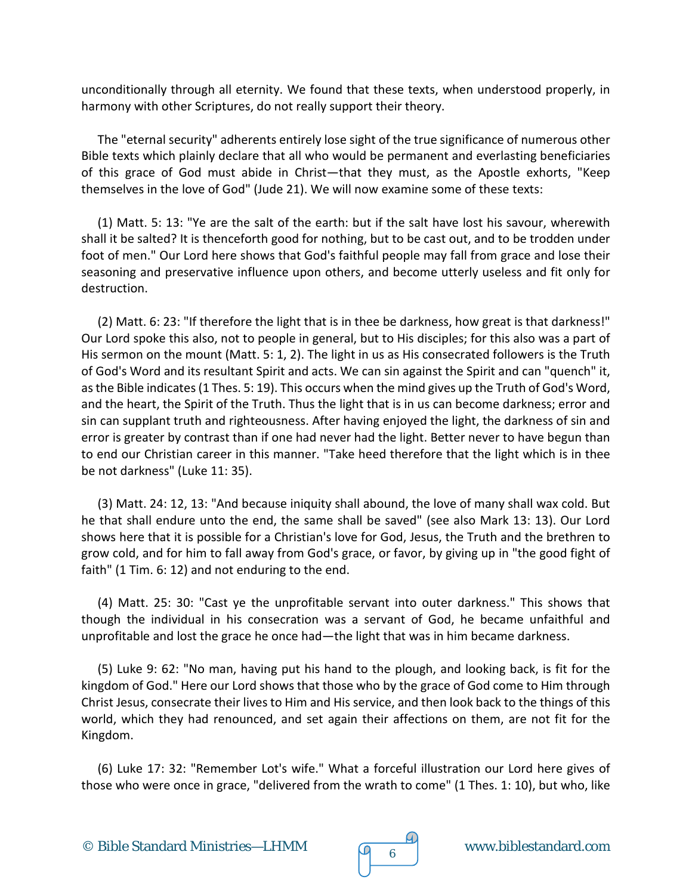unconditionally through all eternity. We found that these texts, when understood properly, in harmony with other Scriptures, do not really support their theory.

The "eternal security" adherents entirely lose sight of the true significance of numerous other Bible texts which plainly declare that all who would be permanent and everlasting beneficiaries of this grace of God must abide in Christ—that they must, as the Apostle exhorts, "Keep themselves in the love of God" (Jude 21). We will now examine some of these texts:

(1) Matt. 5: 13: "Ye are the salt of the earth: but if the salt have lost his savour, wherewith shall it be salted? It is thenceforth good for nothing, but to be cast out, and to be trodden under foot of men." Our Lord here shows that God's faithful people may fall from grace and lose their seasoning and preservative influence upon others, and become utterly useless and fit only for destruction.

(2) Matt. 6: 23: "If therefore the light that is in thee be darkness, how great is that darkness!" Our Lord spoke this also, not to people in general, but to His disciples; for this also was a part of His sermon on the mount (Matt. 5: 1, 2). The light in us as His consecrated followers is the Truth of God's Word and its resultant Spirit and acts. We can sin against the Spirit and can "quench" it, as the Bible indicates (1 Thes. 5: 19). This occurs when the mind gives up the Truth of God's Word, and the heart, the Spirit of the Truth. Thus the light that is in us can become darkness; error and sin can supplant truth and righteousness. After having enjoyed the light, the darkness of sin and error is greater by contrast than if one had never had the light. Better never to have begun than to end our Christian career in this manner. "Take heed therefore that the light which is in thee be not darkness" (Luke 11: 35).

(3) Matt. 24: 12, 13: "And because iniquity shall abound, the love of many shall wax cold. But he that shall endure unto the end, the same shall be saved" (see also Mark 13: 13). Our Lord shows here that it is possible for a Christian's love for God, Jesus, the Truth and the brethren to grow cold, and for him to fall away from God's grace, or favor, by giving up in "the good fight of faith" (1 Tim. 6: 12) and not enduring to the end.

(4) Matt. 25: 30: "Cast ye the unprofitable servant into outer darkness." This shows that though the individual in his consecration was a servant of God, he became unfaithful and unprofitable and lost the grace he once had—the light that was in him became darkness.

(5) Luke 9: 62: "No man, having put his hand to the plough, and looking back, is fit for the kingdom of God." Here our Lord shows that those who by the grace of God come to Him through Christ Jesus, consecrate their lives to Him and His service, and then look back to the things of this world, which they had renounced, and set again their affections on them, are not fit for the Kingdom.

(6) Luke 17: 32: "Remember Lot's wife." What a forceful illustration our Lord here gives of those who were once in grace, "delivered from the wrath to come" (1 Thes. 1: 10), but who, like



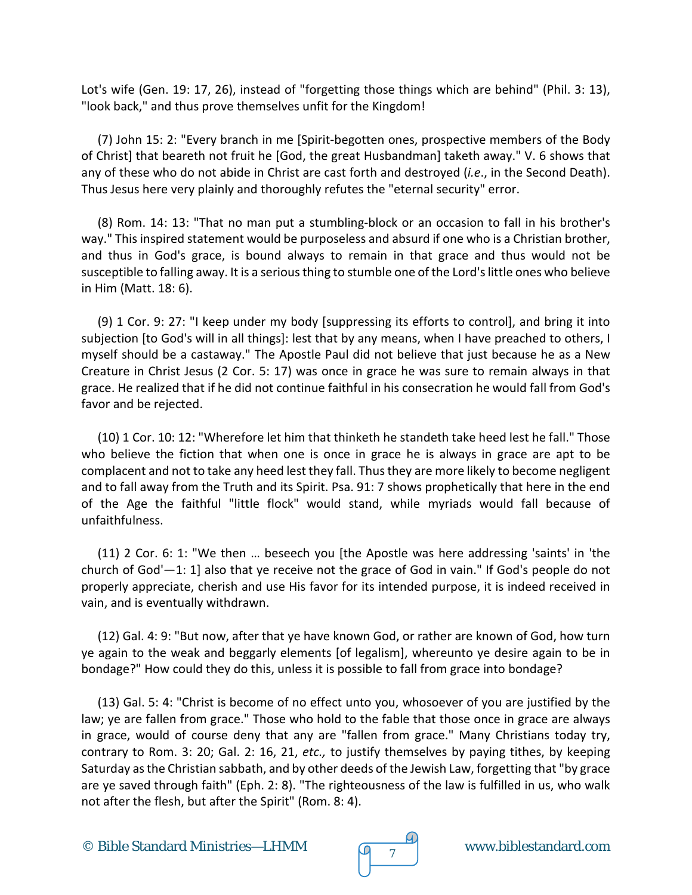Lot's wife (Gen. 19: 17, 26), instead of "forgetting those things which are behind" (Phil. 3: 13), "look back," and thus prove themselves unfit for the Kingdom!

(7) John 15: 2: "Every branch in me [Spirit-begotten ones, prospective members of the Body of Christ] that beareth not fruit he [God, the great Husbandman] taketh away." V. 6 shows that any of these who do not abide in Christ are cast forth and destroyed (*i.e*., in the Second Death). Thus Jesus here very plainly and thoroughly refutes the "eternal security" error.

(8) Rom. 14: 13: "That no man put a stumbling-block or an occasion to fall in his brother's way." This inspired statement would be purposeless and absurd if one who is a Christian brother, and thus in God's grace, is bound always to remain in that grace and thus would not be susceptible to falling away. It is a serious thing to stumble one of the Lord's little ones who believe in Him (Matt. 18: 6).

(9) 1 Cor. 9: 27: "I keep under my body [suppressing its efforts to control], and bring it into subjection [to God's will in all things]: lest that by any means, when I have preached to others, I myself should be a castaway." The Apostle Paul did not believe that just because he as a New Creature in Christ Jesus (2 Cor. 5: 17) was once in grace he was sure to remain always in that grace. He realized that if he did not continue faithful in his consecration he would fall from God's favor and be rejected.

(10) 1 Cor. 10: 12: "Wherefore let him that thinketh he standeth take heed lest he fall." Those who believe the fiction that when one is once in grace he is always in grace are apt to be complacent and not to take any heed lest they fall. Thus they are more likely to become negligent and to fall away from the Truth and its Spirit. Psa. 91: 7 shows prophetically that here in the end of the Age the faithful "little flock" would stand, while myriads would fall because of unfaithfulness.

(11) 2 Cor. 6: 1: "We then … beseech you [the Apostle was here addressing 'saints' in 'the church of God'—1: 1] also that ye receive not the grace of God in vain." If God's people do not properly appreciate, cherish and use His favor for its intended purpose, it is indeed received in vain, and is eventually withdrawn.

(12) Gal. 4: 9: "But now, after that ye have known God, or rather are known of God, how turn ye again to the weak and beggarly elements [of legalism], whereunto ye desire again to be in bondage?" How could they do this, unless it is possible to fall from grace into bondage?

(13) Gal. 5: 4: "Christ is become of no effect unto you, whosoever of you are justified by the law; ye are fallen from grace." Those who hold to the fable that those once in grace are always in grace, would of course deny that any are "fallen from grace." Many Christians today try, contrary to Rom. 3: 20; Gal. 2: 16, 21, *etc.,* to justify themselves by paying tithes, by keeping Saturday as the Christian sabbath, and by other deeds of the Jewish Law, forgetting that "by grace are ye saved through faith" (Eph. 2: 8). "The righteousness of the law is fulfilled in us, who walk not after the flesh, but after the Spirit" (Rom. 8: 4).

© Bible Standard Ministries—LHMM www.biblestandard.com <sup>7</sup>



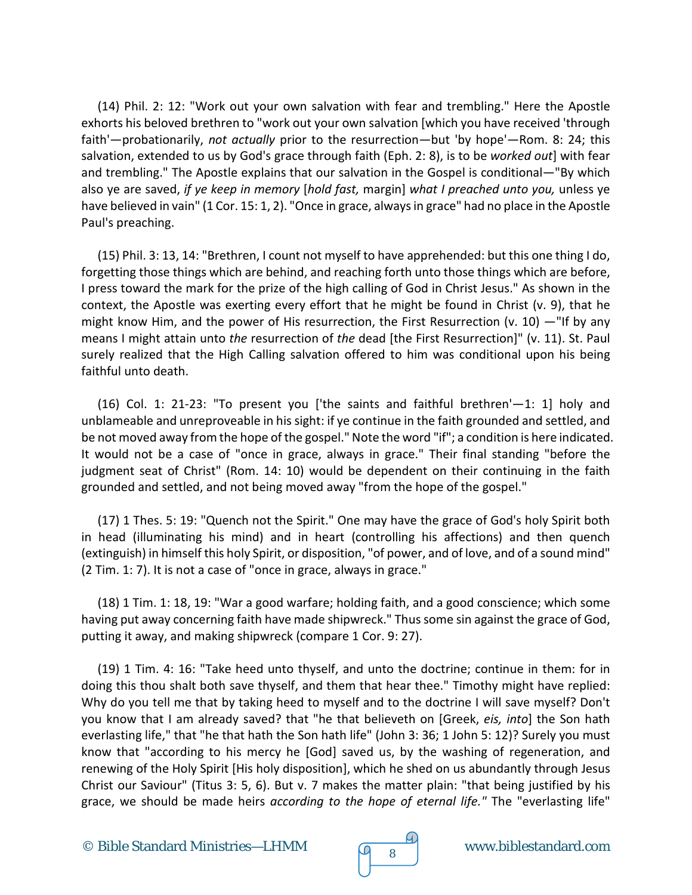(14) Phil. 2: 12: "Work out your own salvation with fear and trembling." Here the Apostle exhorts his beloved brethren to "work out your own salvation [which you have received 'through faith'—probationarily, *not actually* prior to the resurrection—but 'by hope'—Rom. 8: 24; this salvation, extended to us by God's grace through faith (Eph. 2: 8), is to be *worked out*] with fear and trembling." The Apostle explains that our salvation in the Gospel is conditional—"By which also ye are saved, *if ye keep in memory* [*hold fast,* margin] *what I preached unto you,* unless ye have believed in vain" (1 Cor. 15: 1, 2). "Once in grace, always in grace" had no place in the Apostle Paul's preaching.

(15) Phil. 3: 13, 14: "Brethren, I count not myself to have apprehended: but this one thing I do, forgetting those things which are behind, and reaching forth unto those things which are before, I press toward the mark for the prize of the high calling of God in Christ Jesus." As shown in the context, the Apostle was exerting every effort that he might be found in Christ (v. 9), that he might know Him, and the power of His resurrection, the First Resurrection (v. 10) — "If by any means I might attain unto *the* resurrection of *the* dead [the First Resurrection]" (v. 11). St. Paul surely realized that the High Calling salvation offered to him was conditional upon his being faithful unto death.

(16) Col. 1: 21-23: "To present you ['the saints and faithful brethren'—1: 1] holy and unblameable and unreproveable in his sight: if ye continue in the faith grounded and settled, and be not moved away from the hope of the gospel." Note the word "if"; a condition is here indicated. It would not be a case of "once in grace, always in grace." Their final standing "before the judgment seat of Christ" (Rom. 14: 10) would be dependent on their continuing in the faith grounded and settled, and not being moved away "from the hope of the gospel."

(17) 1 Thes. 5: 19: "Quench not the Spirit." One may have the grace of God's holy Spirit both in head (illuminating his mind) and in heart (controlling his affections) and then quench (extinguish) in himself this holy Spirit, or disposition, "of power, and of love, and of a sound mind" (2 Tim. 1: 7). It is not a case of "once in grace, always in grace."

(18) 1 Tim. 1: 18, 19: "War a good warfare; holding faith, and a good conscience; which some having put away concerning faith have made shipwreck." Thus some sin against the grace of God, putting it away, and making shipwreck (compare 1 Cor. 9: 27).

(19) 1 Tim. 4: 16: "Take heed unto thyself, and unto the doctrine; continue in them: for in doing this thou shalt both save thyself, and them that hear thee." Timothy might have replied: Why do you tell me that by taking heed to myself and to the doctrine I will save myself? Don't you know that I am already saved? that "he that believeth on [Greek, *eis, into*] the Son hath everlasting life," that "he that hath the Son hath life" (John 3: 36; 1 John 5: 12)? Surely you must know that "according to his mercy he [God] saved us, by the washing of regeneration, and renewing of the Holy Spirit [His holy disposition], which he shed on us abundantly through Jesus Christ our Saviour" (Titus 3: 5, 6). But v. 7 makes the matter plain: "that being justified by his grace, we should be made heirs *according to the hope of eternal life."* The "everlasting life"

© Bible Standard Ministries—LHMM  $\sqrt{98}$  www.biblestandard.com

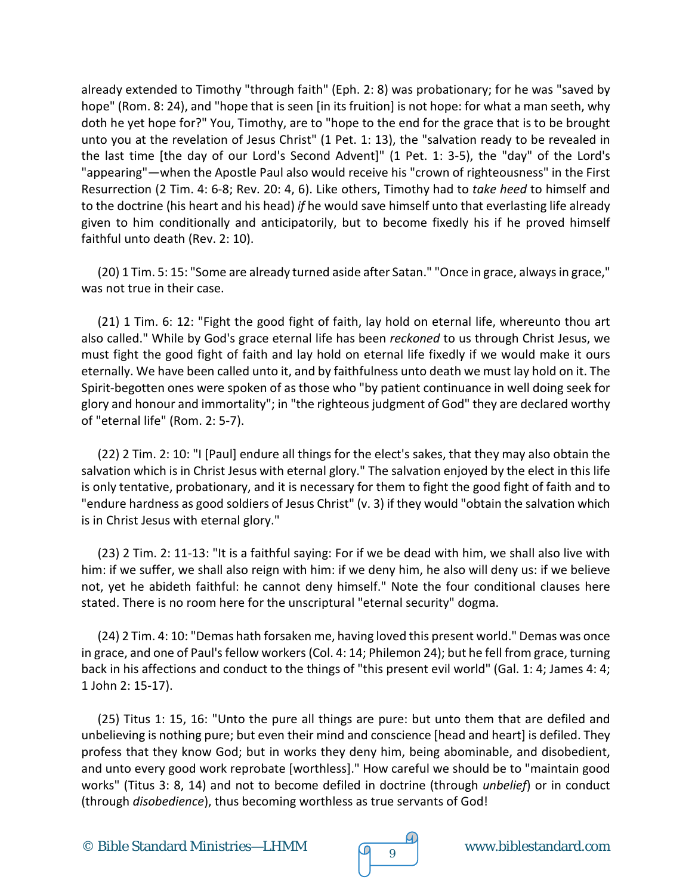already extended to Timothy "through faith" (Eph. 2: 8) was probationary; for he was "saved by hope" (Rom. 8: 24), and "hope that is seen [in its fruition] is not hope: for what a man seeth, why doth he yet hope for?" You, Timothy, are to "hope to the end for the grace that is to be brought unto you at the revelation of Jesus Christ" (1 Pet. 1: 13), the "salvation ready to be revealed in the last time [the day of our Lord's Second Advent]" (1 Pet. 1: 3-5), the "day" of the Lord's "appearing"—when the Apostle Paul also would receive his "crown of righteousness" in the First Resurrection (2 Tim. 4: 6-8; Rev. 20: 4, 6). Like others, Timothy had to *take heed* to himself and to the doctrine (his heart and his head) *if* he would save himself unto that everlasting life already given to him conditionally and anticipatorily, but to become fixedly his if he proved himself faithful unto death (Rev. 2: 10).

(20) 1 Tim. 5: 15: "Some are already turned aside after Satan." "Once in grace, always in grace," was not true in their case.

(21) 1 Tim. 6: 12: "Fight the good fight of faith, lay hold on eternal life, whereunto thou art also called." While by God's grace eternal life has been *reckoned* to us through Christ Jesus, we must fight the good fight of faith and lay hold on eternal life fixedly if we would make it ours eternally. We have been called unto it, and by faithfulness unto death we must lay hold on it. The Spirit-begotten ones were spoken of as those who "by patient continuance in well doing seek for glory and honour and immortality"; in "the righteous judgment of God" they are declared worthy of "eternal life" (Rom. 2: 5-7).

(22) 2 Tim. 2: 10: "I [Paul] endure all things for the elect's sakes, that they may also obtain the salvation which is in Christ Jesus with eternal glory." The salvation enjoyed by the elect in this life is only tentative, probationary, and it is necessary for them to fight the good fight of faith and to "endure hardness as good soldiers of Jesus Christ" (v. 3) if they would "obtain the salvation which is in Christ Jesus with eternal glory."

(23) 2 Tim. 2: 11-13: "It is a faithful saying: For if we be dead with him, we shall also live with him: if we suffer, we shall also reign with him: if we deny him, he also will deny us: if we believe not, yet he abideth faithful: he cannot deny himself." Note the four conditional clauses here stated. There is no room here for the unscriptural "eternal security" dogma.

(24) 2 Tim. 4: 10: "Demas hath forsaken me, having loved this present world." Demas was once in grace, and one of Paul's fellow workers (Col. 4: 14; Philemon 24); but he fell from grace, turning back in his affections and conduct to the things of "this present evil world" (Gal. 1: 4; James 4: 4; 1 John 2: 15-17).

(25) Titus 1: 15, 16: "Unto the pure all things are pure: but unto them that are defiled and unbelieving is nothing pure; but even their mind and conscience [head and heart] is defiled. They profess that they know God; but in works they deny him, being abominable, and disobedient, and unto every good work reprobate [worthless]." How careful we should be to "maintain good works" (Titus 3: 8, 14) and not to become defiled in doctrine (through *unbelief*) or in conduct (through *disobedience*), thus becoming worthless as true servants of God!

© Bible Standard Ministries—LHMM  $\sqrt{q}$   $\frac{q}{9}$  www.biblestandard.com

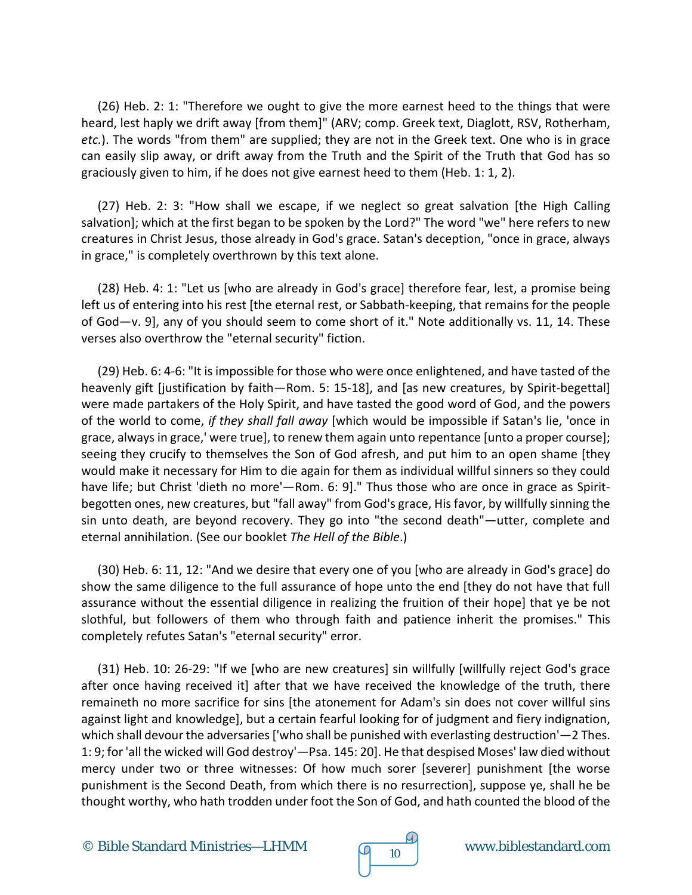(26) Heb. 2: 1: "Therefore we ought to give the more earnest heed to the things that were heard, lest haply we drift away [from them]" (ARV; comp. Greek text, Diaglott, RSV, Rotherham, *etc.*). The words "from them" are supplied; they are not in the Greek text. One who is in grace can easily slip away, or drift away from the Truth and the Spirit of the Truth that God has so graciously given to him, if he does not give earnest heed to them (Heb. 1: 1, 2).

(27) Heb. 2: 3: "How shall we escape, if we neglect so great salvation [the High Calling salvation]; which at the first began to be spoken by the Lord?" The word "we" here refers to new creatures in Christ Jesus, those already in God's grace. Satan's deception, "once in grace, always in grace," is completely overthrown by this text alone.

(28) Heb. 4: 1: "Let us [who are already in God's grace] therefore fear, lest, a promise being left us of entering into his rest [the eternal rest, or Sabbath-keeping, that remains for the people of God—v. 9], any of you should seem to come short of it." Note additionally vs. 11, 14. These verses also overthrow the "eternal security" fiction.

(29) Heb. 6: 4-6: "It is impossible for those who were once enlightened, and have tasted of the heavenly gift [justification by faith—Rom. 5: 15-18], and [as new creatures, by Spirit-begettal] were made partakers of the Holy Spirit, and have tasted the good word of God, and the powers of the world to come, *if they shall fall away* [which would be impossible if Satan's lie, 'once in grace, always in grace,' were true], to renew them again unto repentance [unto a proper course]; seeing they crucify to themselves the Son of God afresh, and put him to an open shame [they would make it necessary for Him to die again for them as individual willful sinners so they could have life; but Christ 'dieth no more'—Rom. 6: 9]." Thus those who are once in grace as Spiritbegotten ones, new creatures, but "fall away" from God's grace, His favor, by willfully sinning the sin unto death, are beyond recovery. They go into "the second death"—utter, complete and eternal annihilation. (See our booklet *The Hell of the Bible*.)

(30) Heb. 6: 11, 12: "And we desire that every one of you [who are already in God's grace] do show the same diligence to the full assurance of hope unto the end [they do not have that full assurance without the essential diligence in realizing the fruition of their hope] that ye be not slothful, but followers of them who through faith and patience inherit the promises." This completely refutes Satan's "eternal security" error.

(31) Heb. 10: 26-29: "If we [who are new creatures] sin willfully [willfully reject God's grace after once having received it] after that we have received the knowledge of the truth, there remaineth no more sacrifice for sins [the atonement for Adam's sin does not cover willful sins against light and knowledge], but a certain fearful looking for of judgment and fiery indignation, which shall devour the adversaries ['who shall be punished with everlasting destruction'-2 Thes. 1: 9; for 'all the wicked will God destroy'—Psa. 145: 20]. He that despised Moses' law died without mercy under two or three witnesses: Of how much sorer [severer] punishment [the worse punishment is the Second Death, from which there is no resurrection], suppose ye, shall he be thought worthy, who hath trodden under foot the Son of God, and hath counted the blood of the

© Bible Standard Ministries—LHMM  $\sqrt{9}$  10 www.biblestandard.com



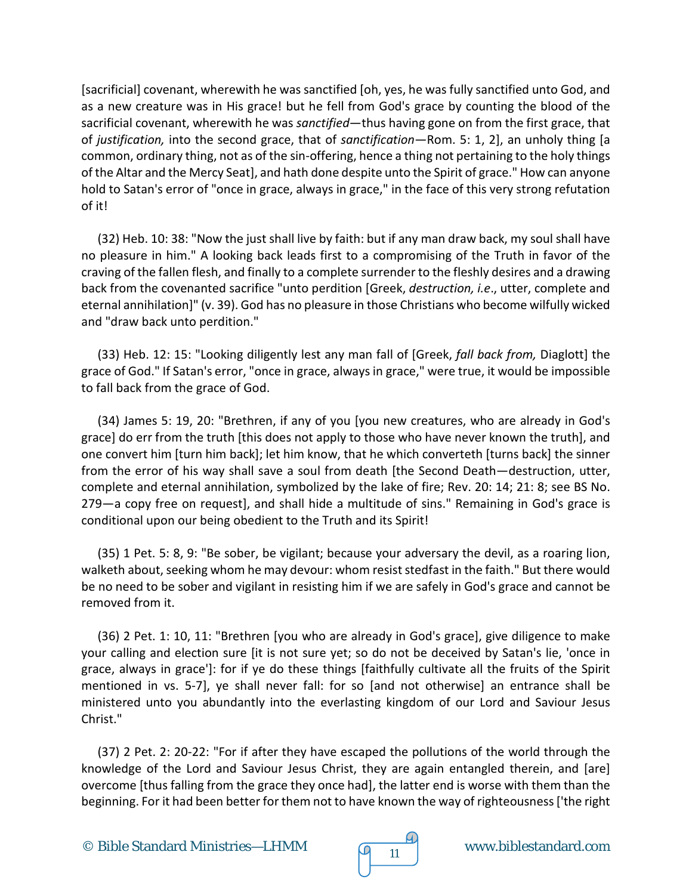[sacrificial] covenant, wherewith he was sanctified [oh, yes, he was fully sanctified unto God, and as a new creature was in His grace! but he fell from God's grace by counting the blood of the sacrificial covenant, wherewith he was *sanctified*—thus having gone on from the first grace, that of *justification,* into the second grace, that of *sanctification*—Rom. 5: 1, 2], an unholy thing [a common, ordinary thing, not as of the sin-offering, hence a thing not pertaining to the holy things of the Altar and the Mercy Seat], and hath done despite unto the Spirit of grace." How can anyone hold to Satan's error of "once in grace, always in grace," in the face of this very strong refutation of it!

(32) Heb. 10: 38: "Now the just shall live by faith: but if any man draw back, my soul shall have no pleasure in him." A looking back leads first to a compromising of the Truth in favor of the craving of the fallen flesh, and finally to a complete surrender to the fleshly desires and a drawing back from the covenanted sacrifice "unto perdition [Greek, *destruction, i.e*., utter, complete and eternal annihilation]" (v. 39). God has no pleasure in those Christians who become wilfully wicked and "draw back unto perdition."

(33) Heb. 12: 15: "Looking diligently lest any man fall of [Greek, *fall back from,* Diaglott] the grace of God." If Satan's error, "once in grace, always in grace," were true, it would be impossible to fall back from the grace of God.

(34) James 5: 19, 20: "Brethren, if any of you [you new creatures, who are already in God's grace] do err from the truth [this does not apply to those who have never known the truth], and one convert him [turn him back]; let him know, that he which converteth [turns back] the sinner from the error of his way shall save a soul from death [the Second Death—destruction, utter, complete and eternal annihilation, symbolized by the lake of fire; Rev. 20: 14; 21: 8; see BS No. 279—a copy free on request], and shall hide a multitude of sins." Remaining in God's grace is conditional upon our being obedient to the Truth and its Spirit!

(35) 1 Pet. 5: 8, 9: "Be sober, be vigilant; because your adversary the devil, as a roaring lion, walketh about, seeking whom he may devour: whom resist stedfast in the faith." But there would be no need to be sober and vigilant in resisting him if we are safely in God's grace and cannot be removed from it.

(36) 2 Pet. 1: 10, 11: "Brethren [you who are already in God's grace], give diligence to make your calling and election sure [it is not sure yet; so do not be deceived by Satan's lie, 'once in grace, always in grace']: for if ye do these things [faithfully cultivate all the fruits of the Spirit mentioned in vs. 5-7], ye shall never fall: for so [and not otherwise] an entrance shall be ministered unto you abundantly into the everlasting kingdom of our Lord and Saviour Jesus Christ."

(37) 2 Pet. 2: 20-22: "For if after they have escaped the pollutions of the world through the knowledge of the Lord and Saviour Jesus Christ, they are again entangled therein, and [are] overcome [thus falling from the grace they once had], the latter end is worse with them than the beginning. For it had been better for them not to have known the way of righteousness ['the right

© Bible Standard Ministries—LHMM  $\sqrt{q}$  11 www.biblestandard.com

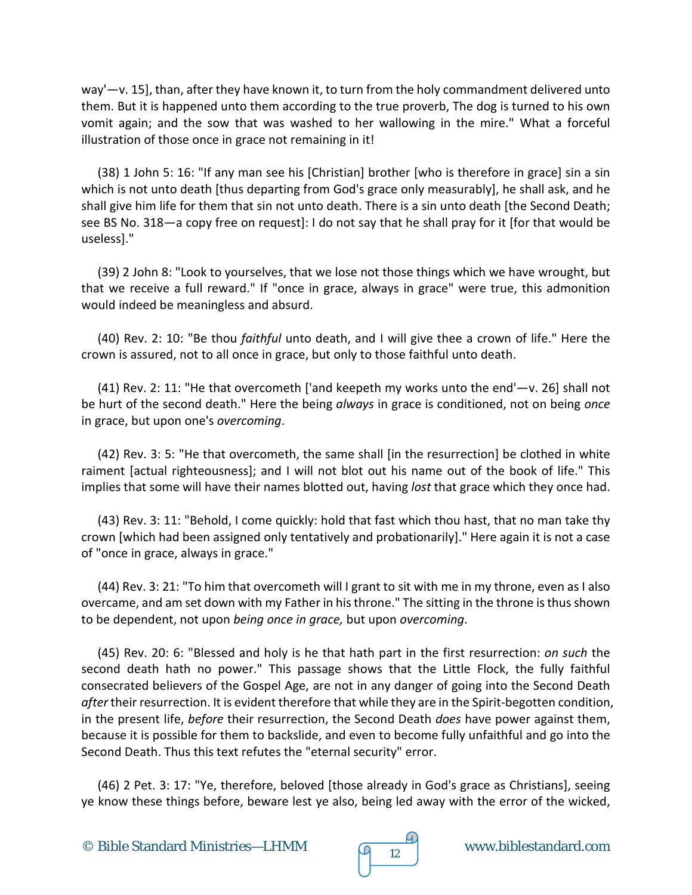way'—v. 15], than, after they have known it, to turn from the holy commandment delivered unto them. But it is happened unto them according to the true proverb, The dog is turned to his own vomit again; and the sow that was washed to her wallowing in the mire." What a forceful illustration of those once in grace not remaining in it!

(38) 1 John 5: 16: "If any man see his [Christian] brother [who is therefore in grace] sin a sin which is not unto death [thus departing from God's grace only measurably], he shall ask, and he shall give him life for them that sin not unto death. There is a sin unto death [the Second Death; see BS No. 318—a copy free on request]: I do not say that he shall pray for it [for that would be useless]."

(39) 2 John 8: "Look to yourselves, that we lose not those things which we have wrought, but that we receive a full reward." If "once in grace, always in grace" were true, this admonition would indeed be meaningless and absurd.

(40) Rev. 2: 10: "Be thou *faithful* unto death, and I will give thee a crown of life." Here the crown is assured, not to all once in grace, but only to those faithful unto death.

(41) Rev. 2: 11: "He that overcometh ['and keepeth my works unto the end'—v. 26] shall not be hurt of the second death." Here the being *always* in grace is conditioned, not on being *once* in grace, but upon one's *overcoming*.

(42) Rev. 3: 5: "He that overcometh, the same shall [in the resurrection] be clothed in white raiment [actual righteousness]; and I will not blot out his name out of the book of life." This implies that some will have their names blotted out, having *lost* that grace which they once had.

(43) Rev. 3: 11: "Behold, I come quickly: hold that fast which thou hast, that no man take thy crown [which had been assigned only tentatively and probationarily]." Here again it is not a case of "once in grace, always in grace."

(44) Rev. 3: 21: "To him that overcometh will I grant to sit with me in my throne, even as I also overcame, and am set down with my Father in his throne." The sitting in the throne is thus shown to be dependent, not upon *being once in grace,* but upon *overcoming*.

(45) Rev. 20: 6: "Blessed and holy is he that hath part in the first resurrection: *on such* the second death hath no power." This passage shows that the Little Flock, the fully faithful consecrated believers of the Gospel Age, are not in any danger of going into the Second Death *after* their resurrection. It is evident therefore that while they are in the Spirit-begotten condition, in the present life, *before* their resurrection, the Second Death *does* have power against them, because it is possible for them to backslide, and even to become fully unfaithful and go into the Second Death. Thus this text refutes the "eternal security" error.

(46) 2 Pet. 3: 17: "Ye, therefore, beloved [those already in God's grace as Christians], seeing ye know these things before, beware lest ye also, being led away with the error of the wicked,